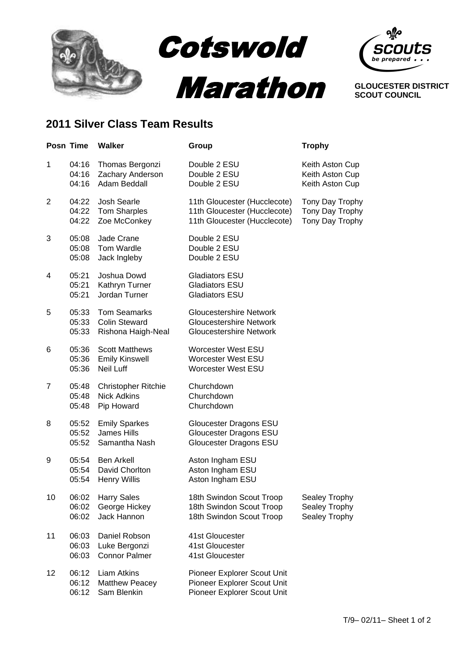



**GLOUCESTER DISTRICT SCOUT COUNCIL**

## **2011 Silver Class Team Results**

|                | Posn Time               | <b>Walker</b>                                                     | Group                                                                                              | <b>Trophy</b>                                         |
|----------------|-------------------------|-------------------------------------------------------------------|----------------------------------------------------------------------------------------------------|-------------------------------------------------------|
| 1              | 04:16<br>04:16<br>04:16 | Thomas Bergonzi<br>Zachary Anderson<br>Adam Beddall               | Double 2 ESU<br>Double 2 ESU<br>Double 2 ESU                                                       | Keith Aston Cup<br>Keith Aston Cup<br>Keith Aston Cup |
| $\overline{2}$ | 04:22<br>04:22<br>04:22 | Josh Searle<br><b>Tom Sharples</b><br>Zoe McConkey                | 11th Gloucester (Hucclecote)<br>11th Gloucester (Hucclecote)<br>11th Gloucester (Hucclecote)       | Tony Day Trophy<br>Tony Day Trophy<br>Tony Day Trophy |
| 3              | 05:08<br>05:08<br>05:08 | Jade Crane<br>Tom Wardle<br>Jack Ingleby                          | Double 2 ESU<br>Double 2 ESU<br>Double 2 ESU                                                       |                                                       |
| 4              | 05:21<br>05:21<br>05:21 | Joshua Dowd<br>Kathryn Turner<br>Jordan Turner                    | Gladiators ESU<br><b>Gladiators ESU</b><br><b>Gladiators ESU</b>                                   |                                                       |
| 5              | 05:33<br>05:33<br>05:33 | <b>Tom Seamarks</b><br><b>Colin Steward</b><br>Rishona Haigh-Neal | <b>Gloucestershire Network</b><br><b>Gloucestershire Network</b><br><b>Gloucestershire Network</b> |                                                       |
| 6              | 05:36<br>05:36<br>05:36 | <b>Scott Matthews</b><br><b>Emily Kinswell</b><br>Neil Luff       | <b>Worcester West ESU</b><br><b>Worcester West ESU</b><br><b>Worcester West ESU</b>                |                                                       |
| 7              | 05:48<br>05:48<br>05:48 | <b>Christopher Ritchie</b><br><b>Nick Adkins</b><br>Pip Howard    | Churchdown<br>Churchdown<br>Churchdown                                                             |                                                       |
| 8              | 05:52<br>05:52<br>05:52 | <b>Emily Sparkes</b><br><b>James Hills</b><br>Samantha Nash       | Gloucester Dragons ESU<br>Gloucester Dragons ESU<br>Gloucester Dragons ESU                         |                                                       |
| 9              | 05:54<br>05:54<br>05:54 | <b>Ben Arkell</b><br>David Chorlton<br><b>Henry Willis</b>        | Aston Ingham ESU<br>Aston Ingham ESU<br>Aston Ingham ESU                                           |                                                       |
| 10             | 06:02<br>06:02<br>06:02 | <b>Harry Sales</b><br>George Hickey<br>Jack Hannon                | 18th Swindon Scout Troop<br>18th Swindon Scout Troop<br>18th Swindon Scout Troop                   | Sealey Trophy<br>Sealey Trophy<br>Sealey Trophy       |
| 11             | 06:03<br>06:03<br>06:03 | Daniel Robson<br>Luke Bergonzi<br><b>Connor Palmer</b>            | 41st Gloucester<br>41st Gloucester<br>41st Gloucester                                              |                                                       |
| 12             | 06:12<br>06:12<br>06:12 | <b>Liam Atkins</b><br><b>Matthew Peacey</b><br>Sam Blenkin        | Pioneer Explorer Scout Unit<br>Pioneer Explorer Scout Unit<br>Pioneer Explorer Scout Unit          |                                                       |